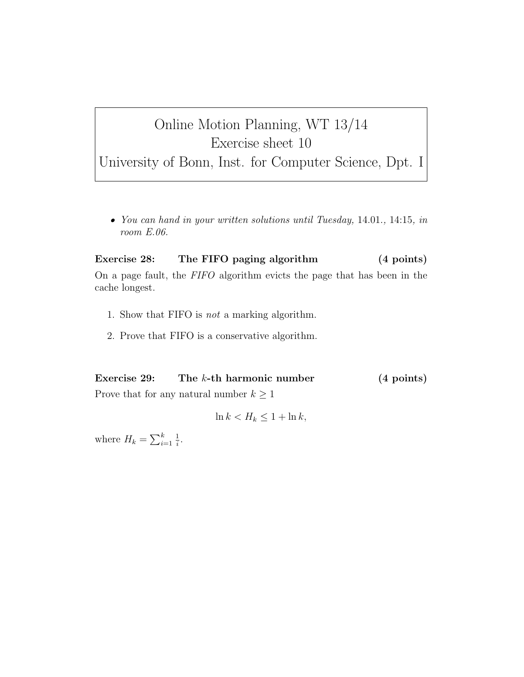## Online Motion Planning, WT 13/14 Exercise sheet 10

University of Bonn, Inst. for Computer Science, Dpt. I

*• You can hand in your written solutions until Tuesday,* 14.01.*,* 14:15*, in room E.06.*

Exercise 28: The FIFO paging algorithm (4 points) On a page fault, the *FIFO* algorithm evicts the page that has been in the cache longest.

- 1. Show that FIFO is *not* a marking algorithm.
- 2. Prove that FIFO is a conservative algorithm.

Exercise 29: The k-th harmonic number (4 points) Prove that for any natural number  $k \geq 1$ 

$$
\ln k < H_k \le 1 + \ln k
$$

where  $H_k = \sum_{i=1}^k$  $\frac{1}{i}$ .